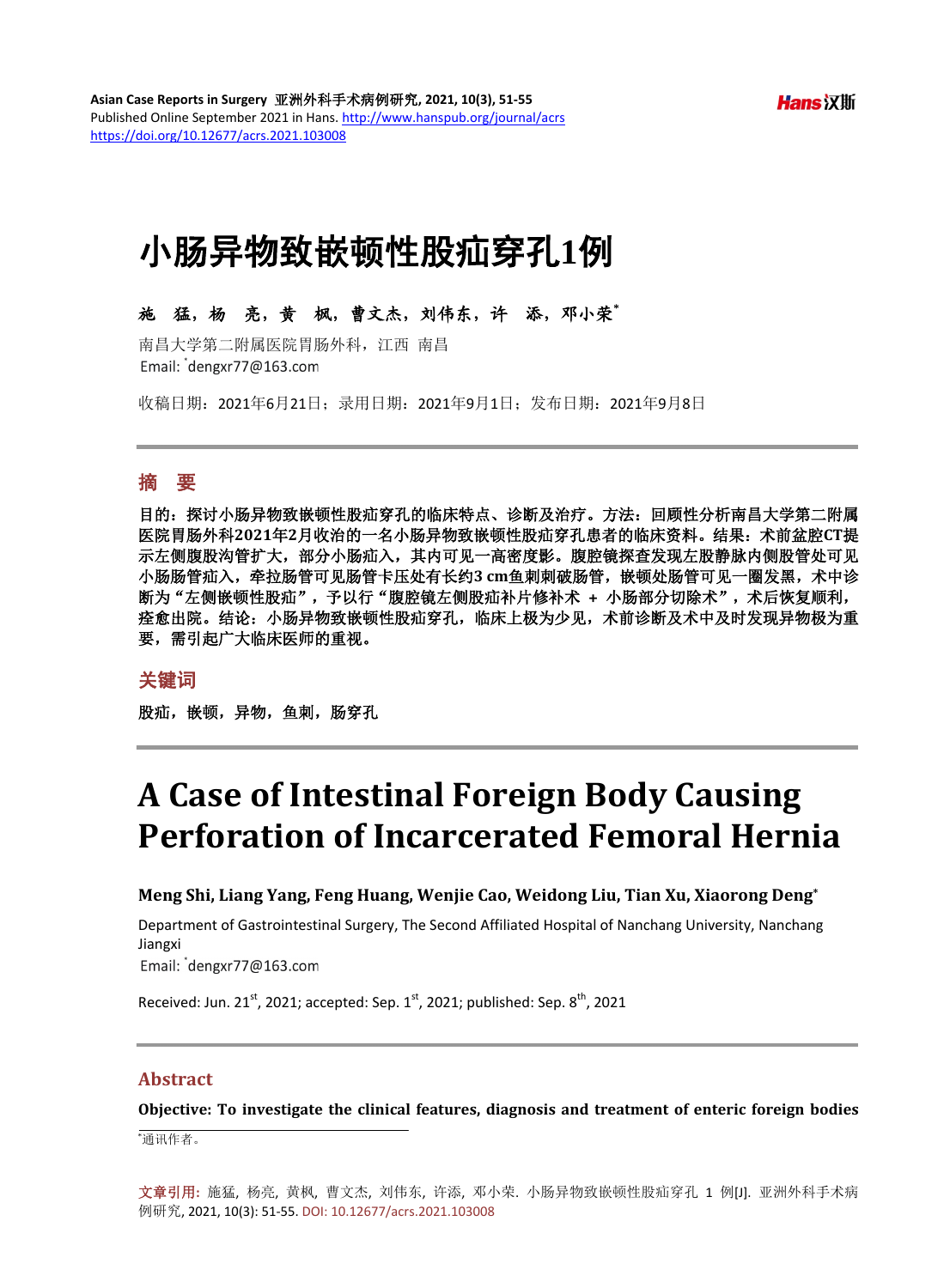# 小肠异物致嵌顿性股疝穿孔**1**例

# 施猛,杨亮,黄枫,曹文杰,刘伟东,许添,邓小荣**\***

南昌大学第二附属医院胃肠外科,江西 南昌 Email: dengxr77@163.com

收稿日期:2021年6月21日;录用日期:2021年9月1日;发布日期:2021年9月8日

#### 摘 要

目的:探讨小肠异物致嵌顿性股疝穿孔的临床特点、诊断及治疗。方法:回顾性分析南昌大学第二附属 医院胃肠外科**2021**年**2**月收治的一名小肠异物致嵌顿性股疝穿孔患者的临床资料。结果:术前盆腔**CT**提 示左侧腹股沟管扩大,部分小肠疝入,其内可见一高密度影。腹腔镜探查发现左股静脉内侧股管处可见 小肠肠管疝入,牵拉肠管可见肠管卡压处有长约**3 cm**鱼刺刺破肠管,嵌顿处肠管可见一圈发黑,术中诊 断为"左侧嵌顿性股疝",予以行"腹腔镜左侧股疝补片修补术 **+** 小肠部分切除术",术后恢复顺利, 痊愈出院。结论:小肠异物致嵌顿性股疝穿孔,临床上极为少见,术前诊断及术中及时发现异物极为重 要,需引起广大临床医师的重视。

#### 关键词

股疝, 嵌顿, 异物, 鱼刺, 肠穿孔

# **A Case of Intestinal Foreign Body Causing Perforation of Incarcerated Femoral Hernia**

#### **Meng Shi, Liang Yang, Feng Huang, Wenjie Cao, Weidong Liu, Tian Xu, Xiaorong Deng\***

Department of Gastrointestinal Surgery, The Second Affiliated Hospital of Nanchang University, Nanchang Jiangxi Email: dengxr77@163.com

Received: Jun. 21st, 2021; accepted: Sep.  $1^{st}$ , 2021; published: Sep.  $8^{th}$ , 2021

### **Abstract**

**Objective: To investigate the clinical features, diagnosis and treatment of enteric foreign bodies** 

\* 通讯作者。

文章引用**:** 施猛, 杨亮, 黄枫, 曹文杰, 刘伟东, 许添, 邓小荣. 小肠异物致嵌顿性股疝穿孔 1 例[J]. 亚洲外科手术病 例研究, 2021, 10(3): 51-55. DOI[: 10.12677/acrs.2021.103008](https://doi.org/10.12677/acrs.2021.103008)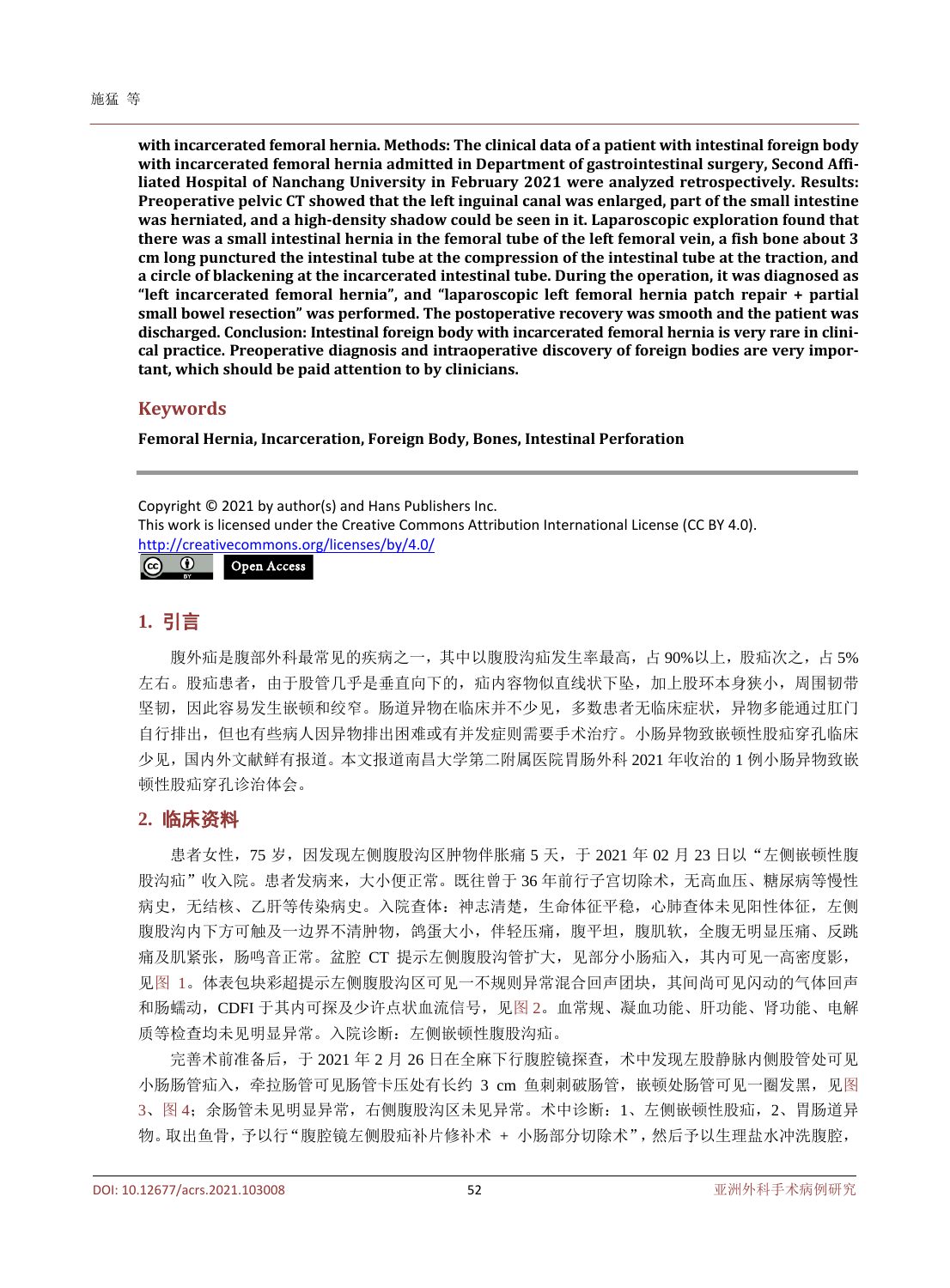**with incarcerated femoral hernia. Methods: The clinical data of a patient with intestinal foreign body with incarcerated femoral hernia admitted in Department of gastrointestinal surgery, Second Affiliated Hospital of Nanchang University in February 2021 were analyzed retrospectively. Results: Preoperative pelvic CT showed that the left inguinal canal was enlarged, part of the small intestine was herniated, and a high-density shadow could be seen in it. Laparoscopic exploration found that there was a small intestinal hernia in the femoral tube of the left femoral vein, a fish bone about 3 cm long punctured the intestinal tube at the compression of the intestinal tube at the traction, and a circle of blackening at the incarcerated intestinal tube. During the operation, it was diagnosed as "left incarcerated femoral hernia", and "laparoscopic left femoral hernia patch repair + partial small bowel resection" was performed. The postoperative recovery was smooth and the patient was discharged. Conclusion: Intestinal foreign body with incarcerated femoral hernia is very rare in clinical practice. Preoperative diagnosis and intraoperative discovery of foreign bodies are very important, which should be paid attention to by clinicians.**

#### **Keywords**

**Femoral Hernia, Incarceration, Foreign Body, Bones, Intestinal Perforation**

Copyright © 2021 by author(s) and Hans Publishers Inc. This work is licensed under the Creative Commons Attribution International License (CC BY 4.0). <http://creativecommons.org/licenses/by/4.0/><br> **CO** O Open Access Open Access

# **1.** 引言

腹外疝是腹部外科最常见的疾病之一,其中以腹股沟疝发生率最高,占 90%以上,股疝次之,占 5% 左右。股疝患者,由于股管几乎是垂直向下的,疝内容物似直线状下坠,加上股环本身狭小,周围韧带 坚韧,因此容易发生嵌顿和绞窄。肠道异物在临床并不少见,多数患者无临床症状,异物多能通过肛门 自行排出,但也有些病人因异物排出困难或有并发症则需要手术治疗。小肠异物致嵌顿性股疝穿孔临床 少见,国内外文献鲜有报道。本文报道南昌大学第二附属医院胃肠外科 2021 年收治的 1 例小肠异物致嵌 顿性股疝穿孔诊治体会。

### **2.** 临床资料

患者女性,75岁,因发现左侧腹股沟区肿物伴胀痛 5 天,于 2021 年 02 月 23 日以"左侧嵌顿性腹 股沟疝"收入院。患者发病来,大小便正常。既往曾于 36 年前行子宫切除术,无高血压、糖尿病等慢性 病史,无结核、乙肝等传染病史。入院查体:神志清楚,生命体征平稳,心肺查体未见阳性体征,左侧 腹股沟内下方可触及一边界不清肿物,鸽蛋大小,伴轻压痛,腹平坦,腹肌软,全腹无明显压痛、反跳 痛及肌紧张,肠鸣音正常。盆腔 CT 提示左侧腹股沟管扩大,见部分小肠疝入,其内可见一高密度影, [见图](#page-2-0) 1。体表包块彩超提示左侧腹股沟区可见一不规则异常混合回声团块,其间尚可见闪动的气体回声 和肠蠕动,CDFI 于其内可探及少许点状血流信号,[见图](#page-2-1) 2。血常规、凝血功能、肝功能、肾功能、电解 质等检查均未见明显异常。入院诊断: 左侧嵌顿性腹股沟疝。

完善术前准备后,于 2021 年 2 月 26 日在全麻下行腹腔镜探查,术中发现左股静脉内侧股管处可见 小肠肠管疝入,牵拉肠管可见肠管卡压处有长约 3 cm 鱼刺刺破肠管,嵌顿处肠管可见一圈发黑,[见图](#page-2-2) [3](#page-2-2)[、图](#page-3-0) 4;余肠管未见明显异常,右侧腹股沟区未见异常。术中诊断:1、左侧嵌顿性股疝,2、胃肠道异 物。取出鱼骨,予以行"腹腔镜左侧股疝补片修补术 + 小肠部分切除术",然后予以生理盐水冲洗腹腔,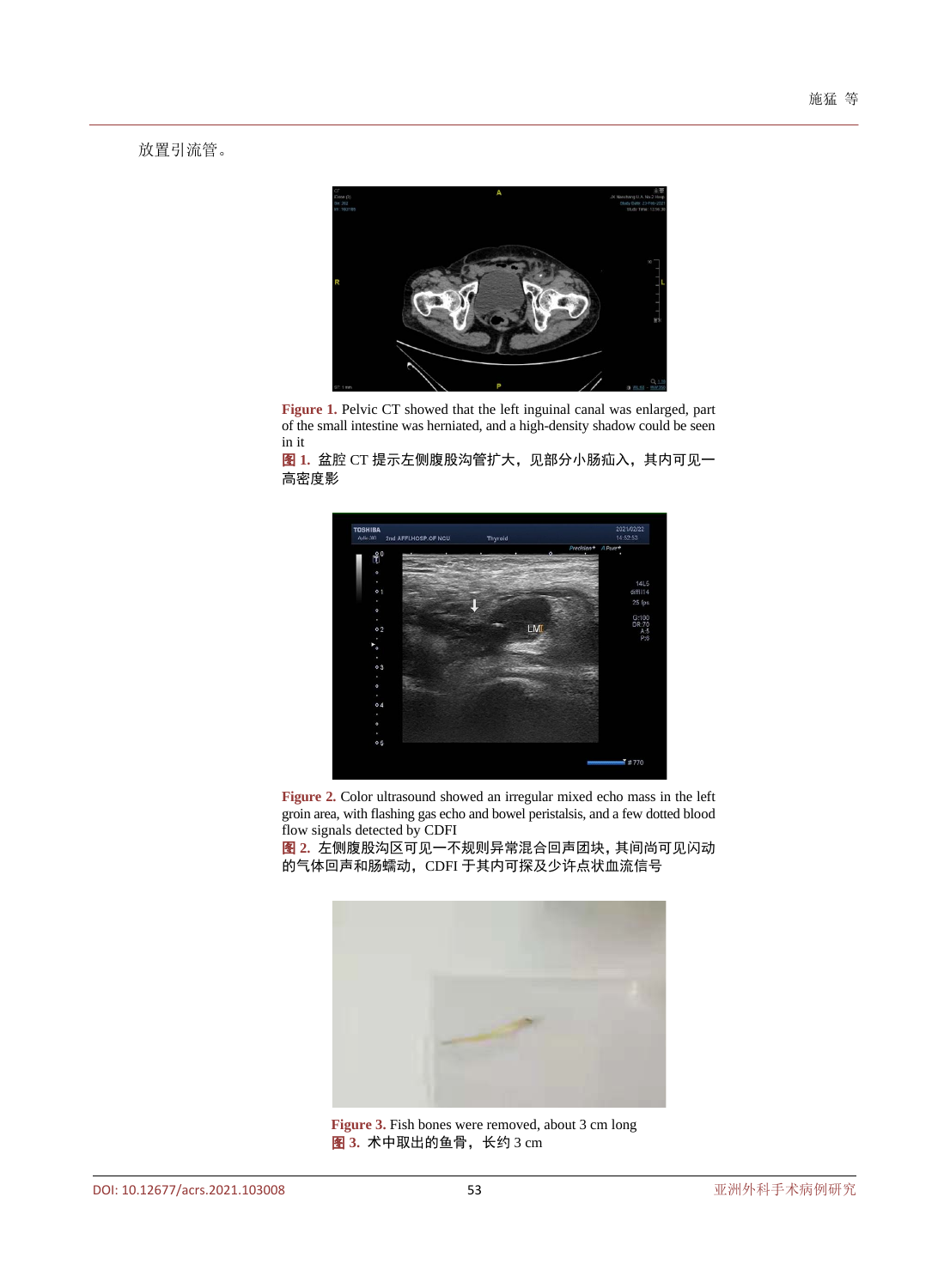<span id="page-2-0"></span>放置引流管。



**Figure 1.** Pelvic CT showed that the left inguinal canal was enlarged, part of the small intestine was herniated, and a high-density shadow could be seen in it

<span id="page-2-1"></span>图 **1.** 盆腔 CT 提示左侧腹股沟管扩大,见部分小肠疝入,其内可见一 高密度影



**Figure 2.** Color ultrasound showed an irregular mixed echo mass in the left groin area, with flashing gas echo and bowel peristalsis, and a few dotted blood flow signals detected by CDFI

<span id="page-2-2"></span>图 **2.** 左侧腹股沟区可见一不规则异常混合回声团块,其间尚可见闪动 的气体回声和肠蠕动, CDFI 于其内可探及少许点状血流信号



**Figure 3.** Fish bones were removed, about 3 cm long 图 **3.** 术中取出的鱼骨,长约 3 cm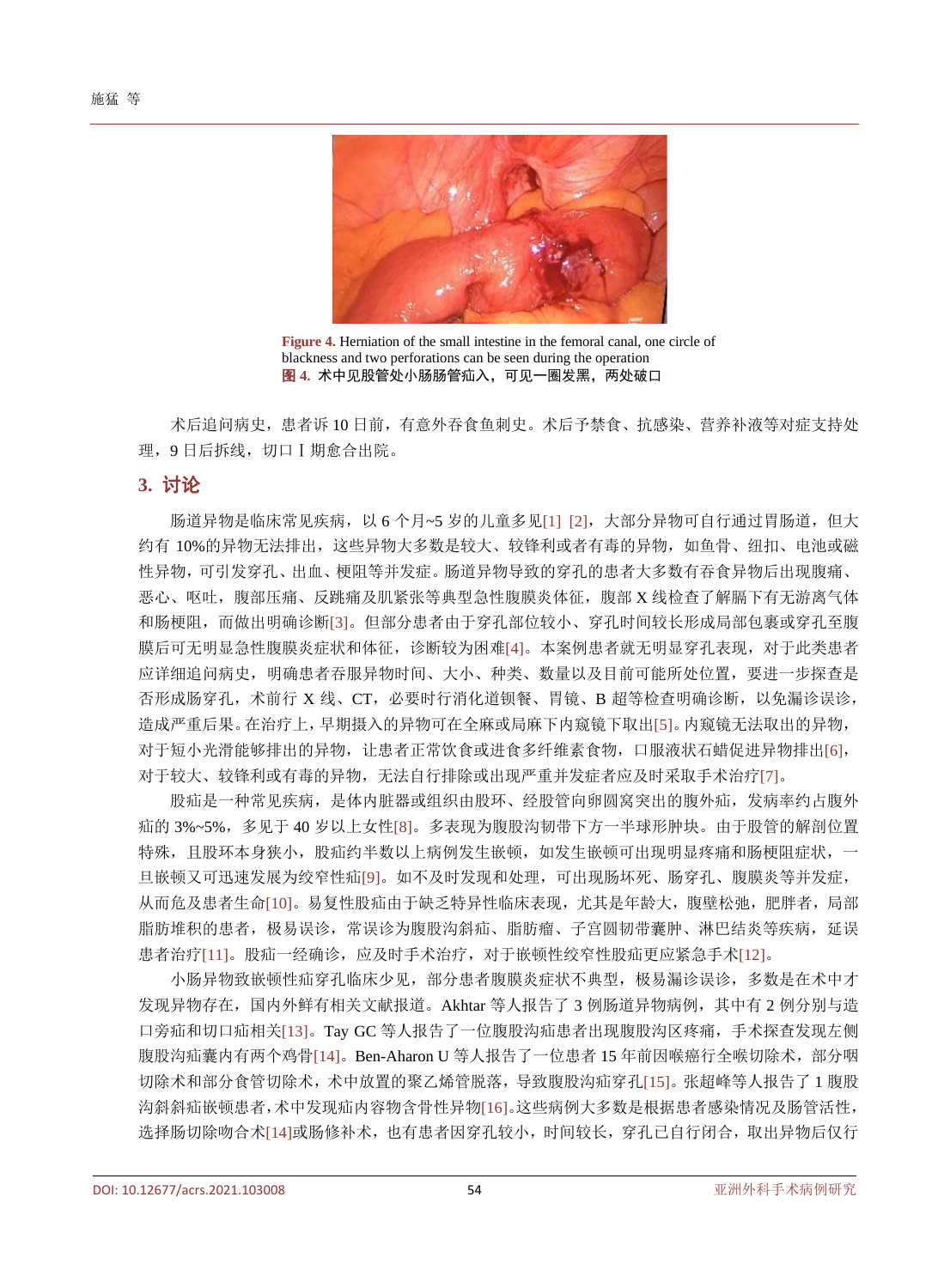<span id="page-3-0"></span>

**Figure 4.** Herniation of the small intestine in the femoral canal, one circle of blackness and two perforations can be seen during the operation 图 **4.** 术中见股管处小肠肠管疝入,可见一圈发黑,两处破口

术后追问病史,患者诉 10 日前,有意外吞食鱼刺史。术后予禁食、抗感染、营养补液等对症支持处 理,9 日后拆线,切口Ⅰ期愈合出院。

#### **3.** 讨论

肠道异物是临床常见疾病,以 6 个月~5 岁的儿童多见[\[1\]](#page-4-0) [\[2\]](#page-4-1), 大部分异物可自行通过胃肠道, 但大 约有 10%的异物无法排出,这些异物大多数是较大、较锋利或者有毒的异物,如鱼骨、纽扣、电池或磁 性异物,可引发穿孔、出血、梗阻等并发症。肠道异物导致的穿孔的患者大多数有吞食异物后出现腹痛、 恶心、呕吐,腹部压痛、反跳痛及肌紧张等典型急性腹膜炎体征,腹部 X 线检查了解膈下有无游离气体 和肠梗阻,而做出明确诊断[\[3\]](#page-4-2)。但部分患者由于穿孔部位较小、穿孔时间较长形成局部包裹或穿孔至腹 膜后可无明显急性腹膜炎症状和体征,诊断较为困难[\[4\]](#page-4-3)。本案例患者就无明显穿孔表现,对于此类患者 应详细追问病史,明确患者吞服异物时间、大小、种类、数量以及目前可能所处位置,要进一步探查是 否形成肠穿孔,术前行 X 线、CT,必要时行消化道钡餐、胃镜、B 超等检查明确诊断,以免漏诊误诊, 造成严重后果。在治疗上,早期摄入的异物可在全麻或局麻下内窥镜下取出[\[5\]](#page-4-4)。内窥镜无法取出的异物, 对于短小光滑能够排出的异物,让患者正常饮食或进食多纤维素食物,口服液状石蜡促进异物排出[\[6\]](#page-4-5), 对于较大、较锋利或有毒的异物,无法自行排除或出现严重并发症者应及时采取手术治疗[\[7\]](#page-4-6)。

股疝是一种常见疾病,是体内脏器或组织由股环、经股管向卵圆窝突出的腹外疝,发病率约占腹外 疝的 3%~5%,多见于 40 岁以上女性[\[8\]](#page-4-7)。多表现为腹股沟韧带下方一半球形肿块。由于股管的解剖位置 特殊,且股环本身狭小,股疝约半数以上病例发生嵌顿,如发生嵌顿可出现明显疼痛和肠梗阻症状,一 旦嵌顿又可迅速发展为绞窄性疝[\[9\]](#page-4-8)。如不及时发现和处理,可出现肠坏死、肠穿孔、腹膜炎等并发症, 从而危及患者生命[\[10\]](#page-4-9)。易复性股疝由于缺乏特异性临床表现,尤其是年龄大,腹壁松弛,肥胖者,局部 脂肪堆积的患者,极易误诊,常误诊为腹股沟斜疝、脂肪瘤、子宫圆韧带囊肿、淋巴结炎等疾病,延误 患者治疗[\[11\]](#page-4-10)。股疝一经确诊,应及时手术治疗,对于嵌顿性绞窄性股疝更应紧急手术[\[12\]](#page-4-11)。

小肠异物致嵌顿性疝穿孔临床少见,部分患者腹膜炎症状不典型,极易漏诊误诊,多数是在术中才 发现异物存在,国内外鲜有相关文献报道。Akhtar 等人报告了 3 例肠道异物病例,其中有 2 例分别与造 口旁疝和切口疝相关[\[13\]](#page-4-12)。Tay GC 等人报告了一位腹股沟疝患者出现腹股沟区疼痛,手术探查发现左侧 腹股沟疝囊内有两个鸡骨[\[14\]](#page-4-13)。Ben-Aharon U 等人报告了一位患者 15 年前因喉癌行全喉切除术,部分咽 切除术和部分食管切除术,术中放置的聚乙烯管脱落,导致腹股沟疝穿孔[\[15\]](#page-4-14)。张超峰等人报告了 1 腹股 沟斜斜疝嵌顿患者,术中发现疝内容物含骨性异物[\[16\]](#page-4-15)。这些病例大多数是根据患者感染情况及肠管活性, 选择肠切除吻合术[\[14\]](#page-4-13)或肠修补术,也有患者因穿孔较小,时间较长,穿孔已自行闭合,取出异物后仅行